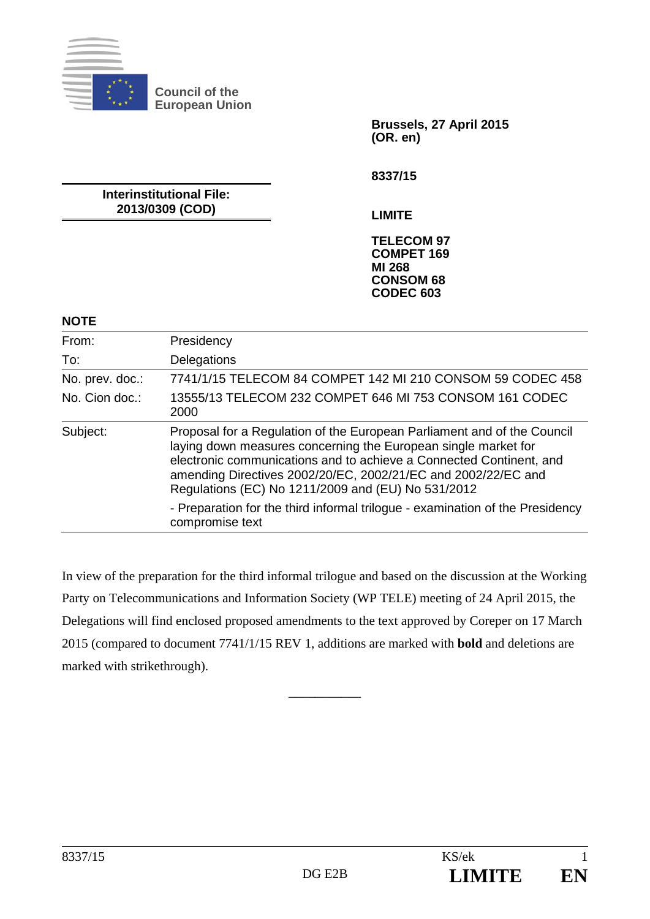

**Council of the European Union** 

> **Brussels, 27 April 2015 (OR. en)**

**8337/15** 

**Interinstitutional File: 2013/0309 (COD)** 

**LIMITE** 

**TELECOM 97 COMPET 169 MI 268 CONSOM 68 CODEC 603** 

#### **NOTE**

| From:           | Presidency                                                                                                                                                                                                                                                                                                                              |
|-----------------|-----------------------------------------------------------------------------------------------------------------------------------------------------------------------------------------------------------------------------------------------------------------------------------------------------------------------------------------|
| To:             | Delegations                                                                                                                                                                                                                                                                                                                             |
| No. prev. doc.: | 7741/1/15 TELECOM 84 COMPET 142 MI 210 CONSOM 59 CODEC 458                                                                                                                                                                                                                                                                              |
| No. Cion doc.:  | 13555/13 TELECOM 232 COMPET 646 MI 753 CONSOM 161 CODEC<br>2000                                                                                                                                                                                                                                                                         |
| Subject:        | Proposal for a Regulation of the European Parliament and of the Council<br>laying down measures concerning the European single market for<br>electronic communications and to achieve a Connected Continent, and<br>amending Directives 2002/20/EC, 2002/21/EC and 2002/22/EC and<br>Regulations (EC) No 1211/2009 and (EU) No 531/2012 |
|                 | - Preparation for the third informal trilogue - examination of the Presidency<br>compromise text                                                                                                                                                                                                                                        |

In view of the preparation for the third informal trilogue and based on the discussion at the Working Party on Telecommunications and Information Society (WP TELE) meeting of 24 April 2015, the Delegations will find enclosed proposed amendments to the text approved by Coreper on 17 March 2015 (compared to document 7741/1/15 REV 1, additions are marked with **bold** and deletions are marked with strikethrough).

\_\_\_\_\_\_\_\_\_\_\_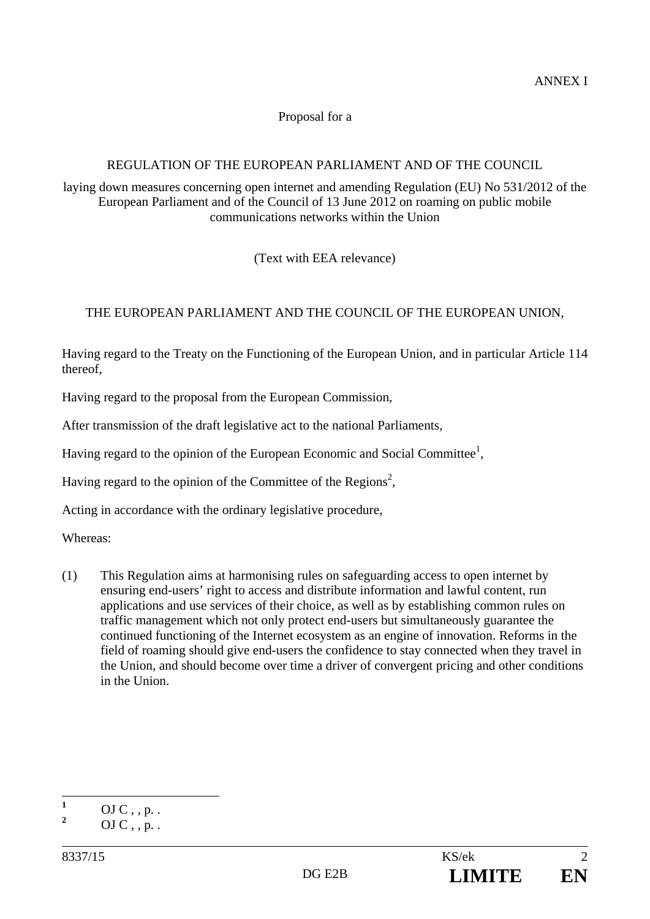### Proposal for a

# REGULATION OF THE EUROPEAN PARLIAMENT AND OF THE COUNCIL

laying down measures concerning open internet and amending Regulation (EU) No 531/2012 of the European Parliament and of the Council of 13 June 2012 on roaming on public mobile communications networks within the Union

(Text with EEA relevance)

# THE EUROPEAN PARLIAMENT AND THE COUNCIL OF THE EUROPEAN UNION,

Having regard to the Treaty on the Functioning of the European Union, and in particular Article 114 thereof,

Having regard to the proposal from the European Commission,

After transmission of the draft legislative act to the national Parliaments,

Having regard to the opinion of the European Economic and Social Committee<sup>1</sup>,

Having regard to the opinion of the Committee of the Regions<sup>2</sup>,

Acting in accordance with the ordinary legislative procedure,

Whereas:

(1) This Regulation aims at harmonising rules on safeguarding access to open internet by ensuring end-users' right to access and distribute information and lawful content, run applications and use services of their choice, as well as by establishing common rules on traffic management which not only protect end-users but simultaneously guarantee the continued functioning of the Internet ecosystem as an engine of innovation. Reforms in the field of roaming should give end-users the confidence to stay connected when they travel in the Union, and should become over time a driver of convergent pricing and other conditions in the Union.

 **1**  $OJ C$ , , p. .

**<sup>2</sup>**  $OJ C$ , , p. .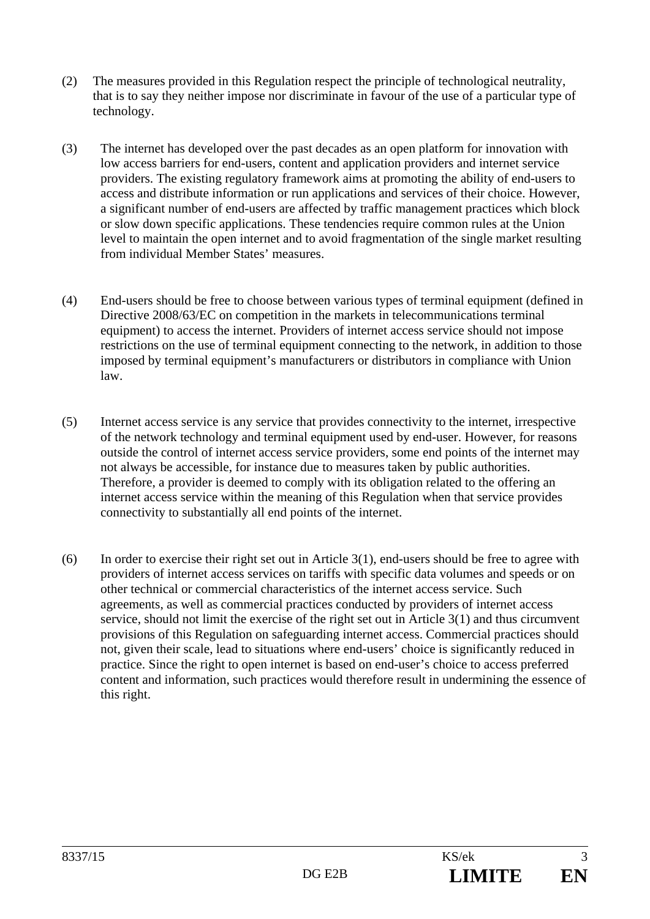- (2) The measures provided in this Regulation respect the principle of technological neutrality, that is to say they neither impose nor discriminate in favour of the use of a particular type of technology.
- (3) The internet has developed over the past decades as an open platform for innovation with low access barriers for end-users, content and application providers and internet service providers. The existing regulatory framework aims at promoting the ability of end-users to access and distribute information or run applications and services of their choice. However, a significant number of end-users are affected by traffic management practices which block or slow down specific applications. These tendencies require common rules at the Union level to maintain the open internet and to avoid fragmentation of the single market resulting from individual Member States' measures.
- (4) End-users should be free to choose between various types of terminal equipment (defined in Directive 2008/63/EC on competition in the markets in telecommunications terminal equipment) to access the internet. Providers of internet access service should not impose restrictions on the use of terminal equipment connecting to the network, in addition to those imposed by terminal equipment's manufacturers or distributors in compliance with Union law.
- (5) Internet access service is any service that provides connectivity to the internet, irrespective of the network technology and terminal equipment used by end-user. However, for reasons outside the control of internet access service providers, some end points of the internet may not always be accessible, for instance due to measures taken by public authorities. Therefore, a provider is deemed to comply with its obligation related to the offering an internet access service within the meaning of this Regulation when that service provides connectivity to substantially all end points of the internet.
- (6) In order to exercise their right set out in Article 3(1), end-users should be free to agree with providers of internet access services on tariffs with specific data volumes and speeds or on other technical or commercial characteristics of the internet access service. Such agreements, as well as commercial practices conducted by providers of internet access service, should not limit the exercise of the right set out in Article 3(1) and thus circumvent provisions of this Regulation on safeguarding internet access. Commercial practices should not, given their scale, lead to situations where end-users' choice is significantly reduced in practice. Since the right to open internet is based on end-user's choice to access preferred content and information, such practices would therefore result in undermining the essence of this right.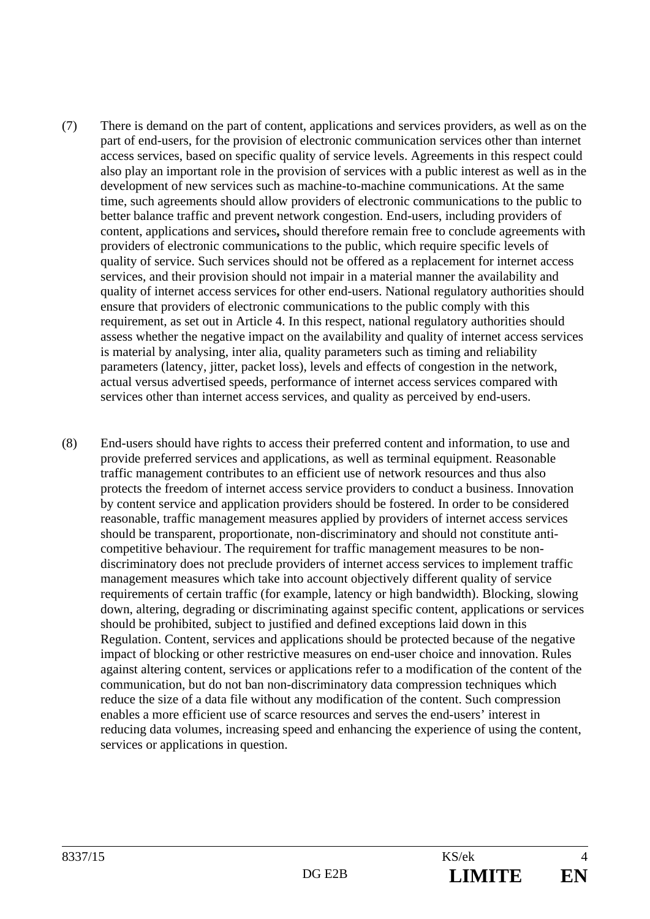- (7) There is demand on the part of content, applications and services providers, as well as on the part of end-users, for the provision of electronic communication services other than internet access services, based on specific quality of service levels. Agreements in this respect could also play an important role in the provision of services with a public interest as well as in the development of new services such as machine-to-machine communications. At the same time, such agreements should allow providers of electronic communications to the public to better balance traffic and prevent network congestion. End-users, including providers of content, applications and services**,** should therefore remain free to conclude agreements with providers of electronic communications to the public, which require specific levels of quality of service. Such services should not be offered as a replacement for internet access services, and their provision should not impair in a material manner the availability and quality of internet access services for other end-users. National regulatory authorities should ensure that providers of electronic communications to the public comply with this requirement, as set out in Article 4. In this respect, national regulatory authorities should assess whether the negative impact on the availability and quality of internet access services is material by analysing, inter alia, quality parameters such as timing and reliability parameters (latency, jitter, packet loss), levels and effects of congestion in the network, actual versus advertised speeds, performance of internet access services compared with services other than internet access services, and quality as perceived by end-users.
- (8) End-users should have rights to access their preferred content and information, to use and provide preferred services and applications, as well as terminal equipment. Reasonable traffic management contributes to an efficient use of network resources and thus also protects the freedom of internet access service providers to conduct a business. Innovation by content service and application providers should be fostered. In order to be considered reasonable, traffic management measures applied by providers of internet access services should be transparent, proportionate, non-discriminatory and should not constitute anticompetitive behaviour. The requirement for traffic management measures to be nondiscriminatory does not preclude providers of internet access services to implement traffic management measures which take into account objectively different quality of service requirements of certain traffic (for example, latency or high bandwidth). Blocking, slowing down, altering, degrading or discriminating against specific content, applications or services should be prohibited, subject to justified and defined exceptions laid down in this Regulation. Content, services and applications should be protected because of the negative impact of blocking or other restrictive measures on end-user choice and innovation. Rules against altering content, services or applications refer to a modification of the content of the communication, but do not ban non-discriminatory data compression techniques which reduce the size of a data file without any modification of the content. Such compression enables a more efficient use of scarce resources and serves the end-users' interest in reducing data volumes, increasing speed and enhancing the experience of using the content, services or applications in question.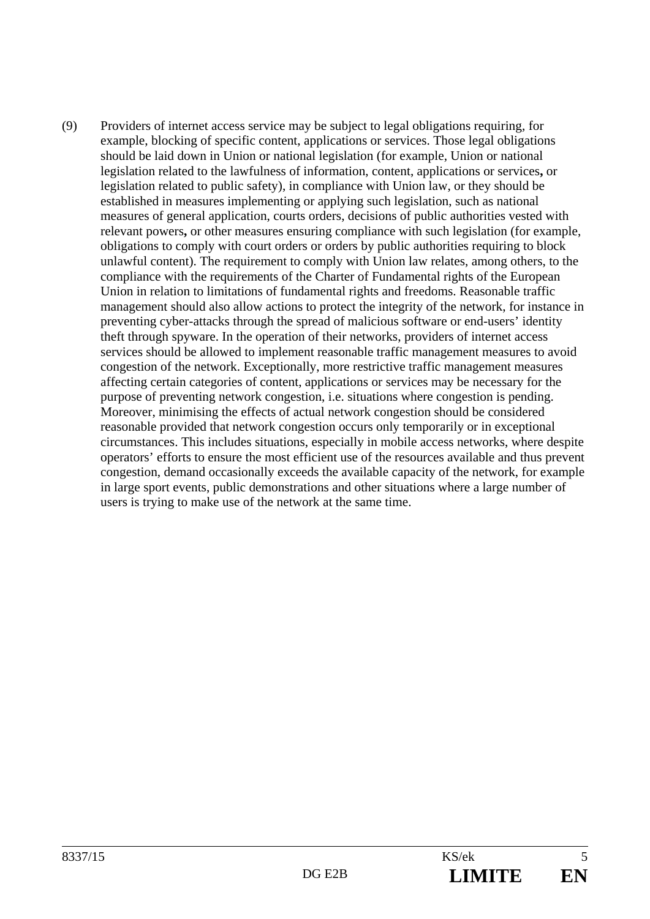(9) Providers of internet access service may be subject to legal obligations requiring, for example, blocking of specific content, applications or services. Those legal obligations should be laid down in Union or national legislation (for example, Union or national legislation related to the lawfulness of information, content, applications or services**,** or legislation related to public safety), in compliance with Union law, or they should be established in measures implementing or applying such legislation, such as national measures of general application, courts orders, decisions of public authorities vested with relevant powers**,** or other measures ensuring compliance with such legislation (for example, obligations to comply with court orders or orders by public authorities requiring to block unlawful content). The requirement to comply with Union law relates, among others, to the compliance with the requirements of the Charter of Fundamental rights of the European Union in relation to limitations of fundamental rights and freedoms. Reasonable traffic management should also allow actions to protect the integrity of the network, for instance in preventing cyber-attacks through the spread of malicious software or end-users' identity theft through spyware. In the operation of their networks, providers of internet access services should be allowed to implement reasonable traffic management measures to avoid congestion of the network. Exceptionally, more restrictive traffic management measures affecting certain categories of content, applications or services may be necessary for the purpose of preventing network congestion, i.e. situations where congestion is pending. Moreover, minimising the effects of actual network congestion should be considered reasonable provided that network congestion occurs only temporarily or in exceptional circumstances. This includes situations, especially in mobile access networks, where despite operators' efforts to ensure the most efficient use of the resources available and thus prevent congestion, demand occasionally exceeds the available capacity of the network, for example in large sport events, public demonstrations and other situations where a large number of users is trying to make use of the network at the same time.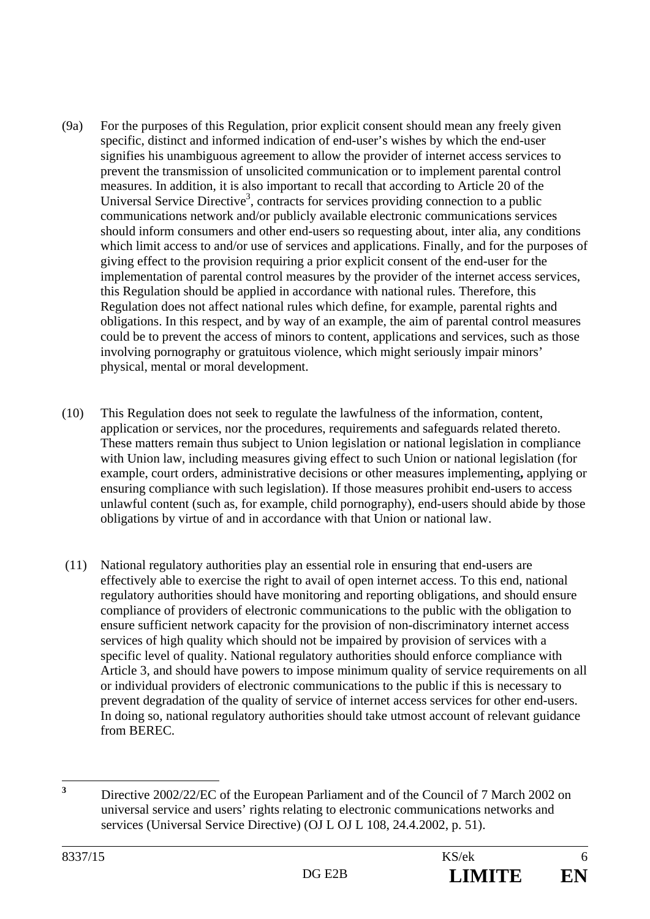- (9a) For the purposes of this Regulation, prior explicit consent should mean any freely given specific, distinct and informed indication of end-user's wishes by which the end-user signifies his unambiguous agreement to allow the provider of internet access services to prevent the transmission of unsolicited communication or to implement parental control measures. In addition, it is also important to recall that according to Article 20 of the Universal Service Directive<sup>3</sup>, contracts for services providing connection to a public communications network and/or publicly available electronic communications services should inform consumers and other end-users so requesting about, inter alia, any conditions which limit access to and/or use of services and applications. Finally, and for the purposes of giving effect to the provision requiring a prior explicit consent of the end-user for the implementation of parental control measures by the provider of the internet access services, this Regulation should be applied in accordance with national rules. Therefore, this Regulation does not affect national rules which define, for example, parental rights and obligations. In this respect, and by way of an example, the aim of parental control measures could be to prevent the access of minors to content, applications and services, such as those involving pornography or gratuitous violence, which might seriously impair minors' physical, mental or moral development.
- (10) This Regulation does not seek to regulate the lawfulness of the information, content, application or services, nor the procedures, requirements and safeguards related thereto. These matters remain thus subject to Union legislation or national legislation in compliance with Union law, including measures giving effect to such Union or national legislation (for example, court orders, administrative decisions or other measures implementing**,** applying or ensuring compliance with such legislation). If those measures prohibit end-users to access unlawful content (such as, for example, child pornography), end-users should abide by those obligations by virtue of and in accordance with that Union or national law.
- (11) National regulatory authorities play an essential role in ensuring that end-users are effectively able to exercise the right to avail of open internet access. To this end, national regulatory authorities should have monitoring and reporting obligations, and should ensure compliance of providers of electronic communications to the public with the obligation to ensure sufficient network capacity for the provision of non-discriminatory internet access services of high quality which should not be impaired by provision of services with a specific level of quality. National regulatory authorities should enforce compliance with Article 3, and should have powers to impose minimum quality of service requirements on all or individual providers of electronic communications to the public if this is necessary to prevent degradation of the quality of service of internet access services for other end-users. In doing so, national regulatory authorities should take utmost account of relevant guidance from BEREC.

 **3** Directive 2002/22/EC of the European Parliament and of the Council of 7 March 2002 on universal service and users' rights relating to electronic communications networks and services (Universal Service Directive) (OJ L OJ L 108, 24.4.2002, p. 51).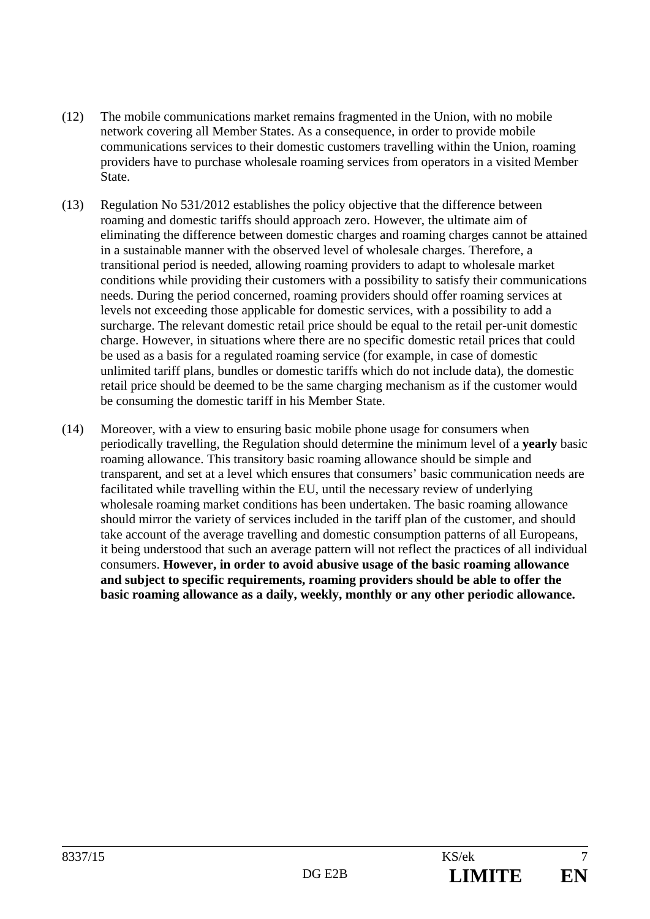- (12) The mobile communications market remains fragmented in the Union, with no mobile network covering all Member States. As a consequence, in order to provide mobile communications services to their domestic customers travelling within the Union, roaming providers have to purchase wholesale roaming services from operators in a visited Member State.
- (13) Regulation No 531/2012 establishes the policy objective that the difference between roaming and domestic tariffs should approach zero. However, the ultimate aim of eliminating the difference between domestic charges and roaming charges cannot be attained in a sustainable manner with the observed level of wholesale charges. Therefore, a transitional period is needed, allowing roaming providers to adapt to wholesale market conditions while providing their customers with a possibility to satisfy their communications needs. During the period concerned, roaming providers should offer roaming services at levels not exceeding those applicable for domestic services, with a possibility to add a surcharge. The relevant domestic retail price should be equal to the retail per-unit domestic charge. However, in situations where there are no specific domestic retail prices that could be used as a basis for a regulated roaming service (for example, in case of domestic unlimited tariff plans, bundles or domestic tariffs which do not include data), the domestic retail price should be deemed to be the same charging mechanism as if the customer would be consuming the domestic tariff in his Member State.
- (14) Moreover, with a view to ensuring basic mobile phone usage for consumers when periodically travelling, the Regulation should determine the minimum level of a **yearly** basic roaming allowance. This transitory basic roaming allowance should be simple and transparent, and set at a level which ensures that consumers' basic communication needs are facilitated while travelling within the EU, until the necessary review of underlying wholesale roaming market conditions has been undertaken. The basic roaming allowance should mirror the variety of services included in the tariff plan of the customer, and should take account of the average travelling and domestic consumption patterns of all Europeans, it being understood that such an average pattern will not reflect the practices of all individual consumers. **However, in order to avoid abusive usage of the basic roaming allowance and subject to specific requirements, roaming providers should be able to offer the basic roaming allowance as a daily, weekly, monthly or any other periodic allowance.**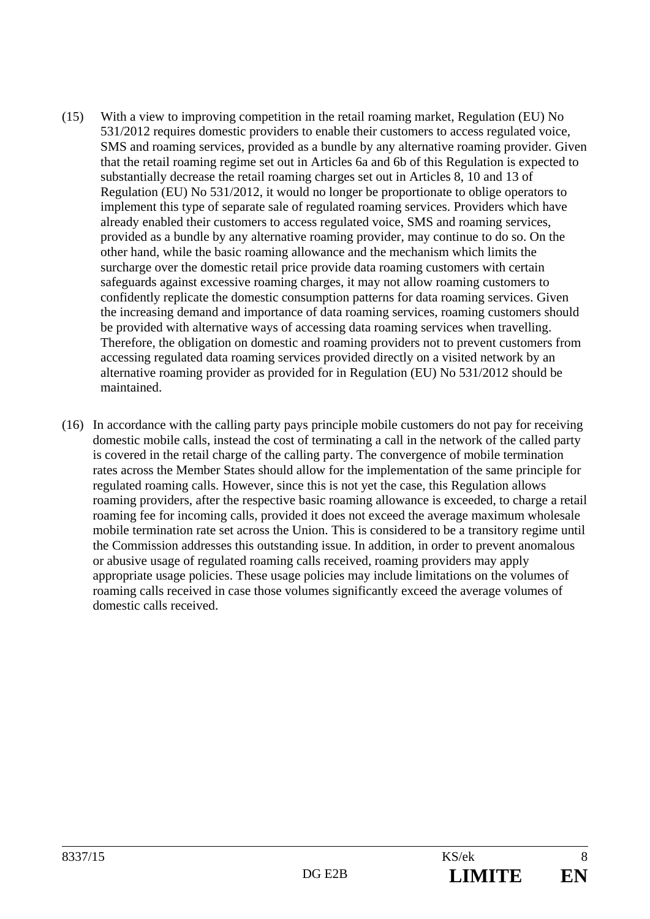- (15) With a view to improving competition in the retail roaming market, Regulation (EU) No 531/2012 requires domestic providers to enable their customers to access regulated voice, SMS and roaming services, provided as a bundle by any alternative roaming provider. Given that the retail roaming regime set out in Articles 6a and 6b of this Regulation is expected to substantially decrease the retail roaming charges set out in Articles 8, 10 and 13 of Regulation (EU) No 531/2012, it would no longer be proportionate to oblige operators to implement this type of separate sale of regulated roaming services. Providers which have already enabled their customers to access regulated voice, SMS and roaming services, provided as a bundle by any alternative roaming provider, may continue to do so. On the other hand, while the basic roaming allowance and the mechanism which limits the surcharge over the domestic retail price provide data roaming customers with certain safeguards against excessive roaming charges, it may not allow roaming customers to confidently replicate the domestic consumption patterns for data roaming services. Given the increasing demand and importance of data roaming services, roaming customers should be provided with alternative ways of accessing data roaming services when travelling. Therefore, the obligation on domestic and roaming providers not to prevent customers from accessing regulated data roaming services provided directly on a visited network by an alternative roaming provider as provided for in Regulation (EU) No 531/2012 should be maintained.
- (16) In accordance with the calling party pays principle mobile customers do not pay for receiving domestic mobile calls, instead the cost of terminating a call in the network of the called party is covered in the retail charge of the calling party. The convergence of mobile termination rates across the Member States should allow for the implementation of the same principle for regulated roaming calls. However, since this is not yet the case, this Regulation allows roaming providers, after the respective basic roaming allowance is exceeded, to charge a retail roaming fee for incoming calls, provided it does not exceed the average maximum wholesale mobile termination rate set across the Union. This is considered to be a transitory regime until the Commission addresses this outstanding issue. In addition, in order to prevent anomalous or abusive usage of regulated roaming calls received, roaming providers may apply appropriate usage policies. These usage policies may include limitations on the volumes of roaming calls received in case those volumes significantly exceed the average volumes of domestic calls received.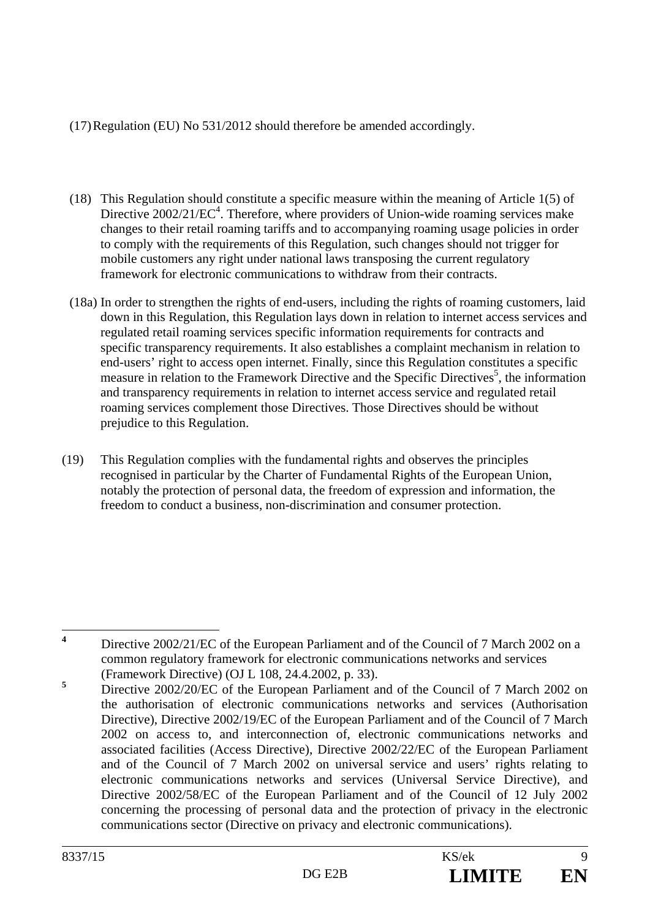# (17) Regulation (EU) No 531/2012 should therefore be amended accordingly.

- (18) This Regulation should constitute a specific measure within the meaning of Article 1(5) of Directive  $2002/21/EC^4$ . Therefore, where providers of Union-wide roaming services make changes to their retail roaming tariffs and to accompanying roaming usage policies in order to comply with the requirements of this Regulation, such changes should not trigger for mobile customers any right under national laws transposing the current regulatory framework for electronic communications to withdraw from their contracts.
- (18a) In order to strengthen the rights of end-users, including the rights of roaming customers, laid down in this Regulation, this Regulation lays down in relation to internet access services and regulated retail roaming services specific information requirements for contracts and specific transparency requirements. It also establishes a complaint mechanism in relation to end-users' right to access open internet. Finally, since this Regulation constitutes a specific measure in relation to the Framework Directive and the Specific Directives<sup>5</sup>, the information and transparency requirements in relation to internet access service and regulated retail roaming services complement those Directives. Those Directives should be without prejudice to this Regulation.
- (19) This Regulation complies with the fundamental rights and observes the principles recognised in particular by the Charter of Fundamental Rights of the European Union, notably the protection of personal data, the freedom of expression and information, the freedom to conduct a business, non-discrimination and consumer protection.

 **4** Directive 2002/21/EC of the European Parliament and of the Council of 7 March 2002 on a common regulatory framework for electronic communications networks and services (Framework Directive) (OJ L 108, 24.4.2002, p. 33).

**<sup>5</sup>** Directive 2002/20/EC of the European Parliament and of the Council of 7 March 2002 on the authorisation of electronic communications networks and services (Authorisation Directive), Directive 2002/19/EC of the European Parliament and of the Council of 7 March 2002 on access to, and interconnection of, electronic communications networks and associated facilities (Access Directive), Directive 2002/22/EC of the European Parliament and of the Council of 7 March 2002 on universal service and users' rights relating to electronic communications networks and services (Universal Service Directive), and Directive 2002/58/EC of the European Parliament and of the Council of 12 July 2002 concerning the processing of personal data and the protection of privacy in the electronic communications sector (Directive on privacy and electronic communications).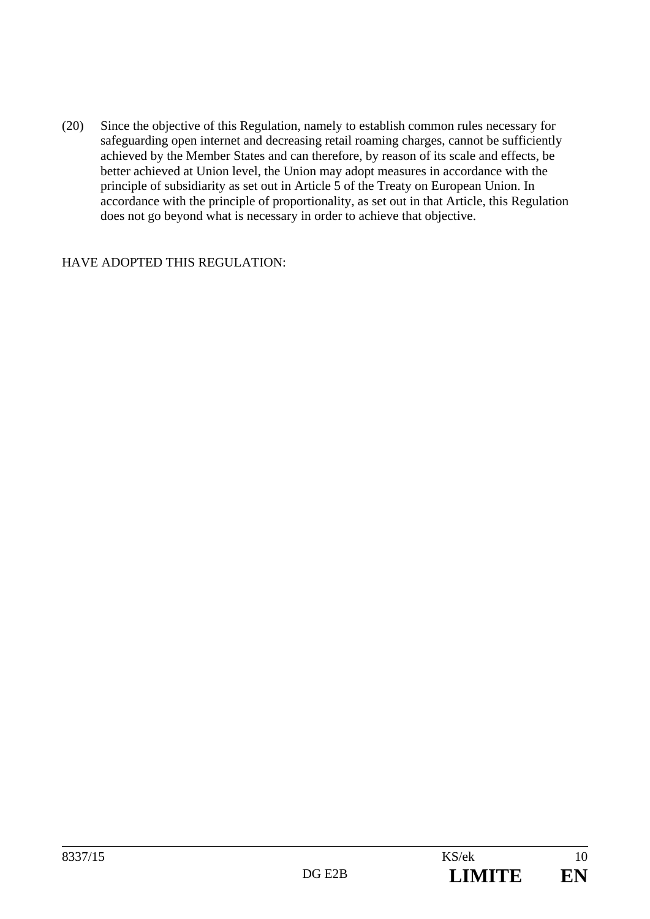(20) Since the objective of this Regulation, namely to establish common rules necessary for safeguarding open internet and decreasing retail roaming charges, cannot be sufficiently achieved by the Member States and can therefore, by reason of its scale and effects, be better achieved at Union level, the Union may adopt measures in accordance with the principle of subsidiarity as set out in Article 5 of the Treaty on European Union. In accordance with the principle of proportionality, as set out in that Article, this Regulation does not go beyond what is necessary in order to achieve that objective.

#### HAVE ADOPTED THIS REGULATION: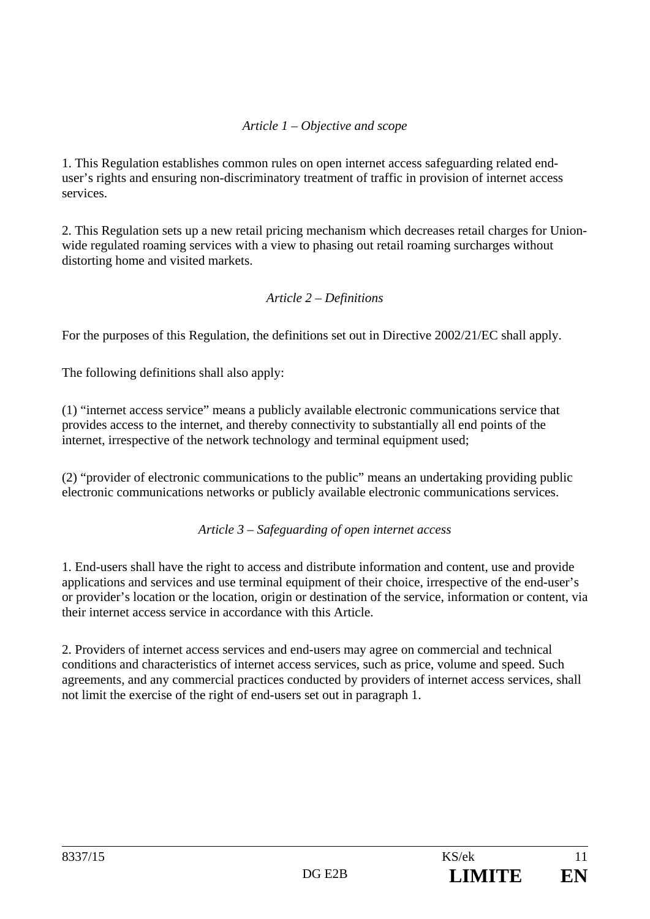# *Article 1 – Objective and scope*

1. This Regulation establishes common rules on open internet access safeguarding related enduser's rights and ensuring non-discriminatory treatment of traffic in provision of internet access services.

2. This Regulation sets up a new retail pricing mechanism which decreases retail charges for Unionwide regulated roaming services with a view to phasing out retail roaming surcharges without distorting home and visited markets.

#### *Article 2 – Definitions*

For the purposes of this Regulation, the definitions set out in Directive 2002/21/EC shall apply.

The following definitions shall also apply:

(1) "internet access service" means a publicly available electronic communications service that provides access to the internet, and thereby connectivity to substantially all end points of the internet, irrespective of the network technology and terminal equipment used;

(2) "provider of electronic communications to the public" means an undertaking providing public electronic communications networks or publicly available electronic communications services.

*Article 3 – Safeguarding of open internet access* 

1. End-users shall have the right to access and distribute information and content, use and provide applications and services and use terminal equipment of their choice, irrespective of the end-user's or provider's location or the location, origin or destination of the service, information or content, via their internet access service in accordance with this Article.

2. Providers of internet access services and end-users may agree on commercial and technical conditions and characteristics of internet access services, such as price, volume and speed. Such agreements, and any commercial practices conducted by providers of internet access services, shall not limit the exercise of the right of end-users set out in paragraph 1.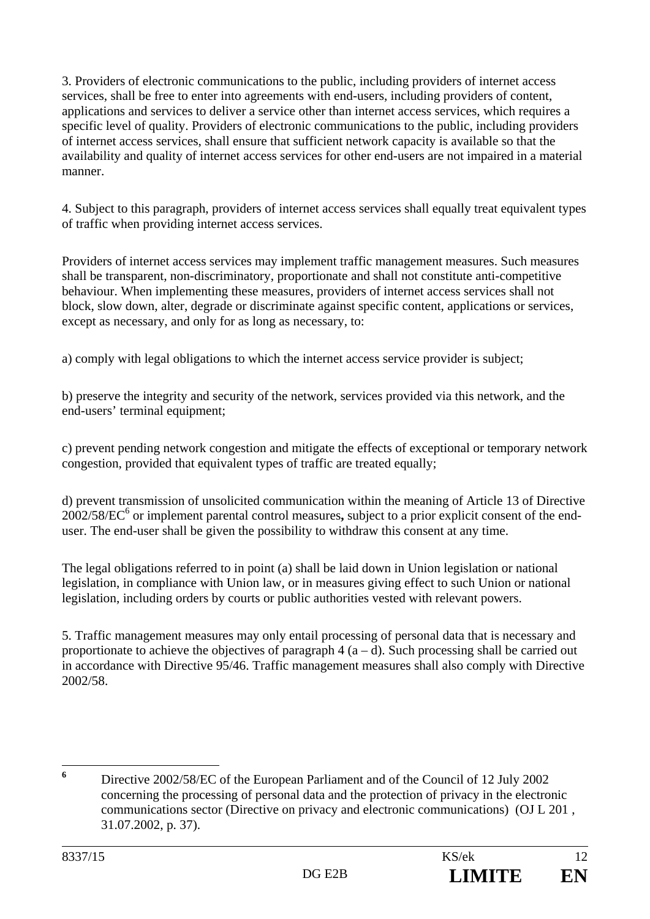3. Providers of electronic communications to the public, including providers of internet access services, shall be free to enter into agreements with end-users, including providers of content, applications and services to deliver a service other than internet access services, which requires a specific level of quality. Providers of electronic communications to the public, including providers of internet access services, shall ensure that sufficient network capacity is available so that the availability and quality of internet access services for other end-users are not impaired in a material manner.

4. Subject to this paragraph, providers of internet access services shall equally treat equivalent types of traffic when providing internet access services.

Providers of internet access services may implement traffic management measures. Such measures shall be transparent, non-discriminatory, proportionate and shall not constitute anti-competitive behaviour. When implementing these measures, providers of internet access services shall not block, slow down, alter, degrade or discriminate against specific content, applications or services, except as necessary, and only for as long as necessary, to:

a) comply with legal obligations to which the internet access service provider is subject;

b) preserve the integrity and security of the network, services provided via this network, and the end-users' terminal equipment;

c) prevent pending network congestion and mitigate the effects of exceptional or temporary network congestion, provided that equivalent types of traffic are treated equally;

d) prevent transmission of unsolicited communication within the meaning of Article 13 of Directive 2002/58/EC6 or implement parental control measures**,** subject to a prior explicit consent of the enduser. The end-user shall be given the possibility to withdraw this consent at any time.

The legal obligations referred to in point (a) shall be laid down in Union legislation or national legislation, in compliance with Union law, or in measures giving effect to such Union or national legislation, including orders by courts or public authorities vested with relevant powers.

5. Traffic management measures may only entail processing of personal data that is necessary and proportionate to achieve the objectives of paragraph  $4(a-d)$ . Such processing shall be carried out in accordance with Directive 95/46. Traffic management measures shall also comply with Directive 2002/58.

 **6** Directive 2002/58/EC of the European Parliament and of the Council of 12 July 2002 concerning the processing of personal data and the protection of privacy in the electronic communications sector (Directive on privacy and electronic communications) (OJ L 201 , 31.07.2002, p. 37).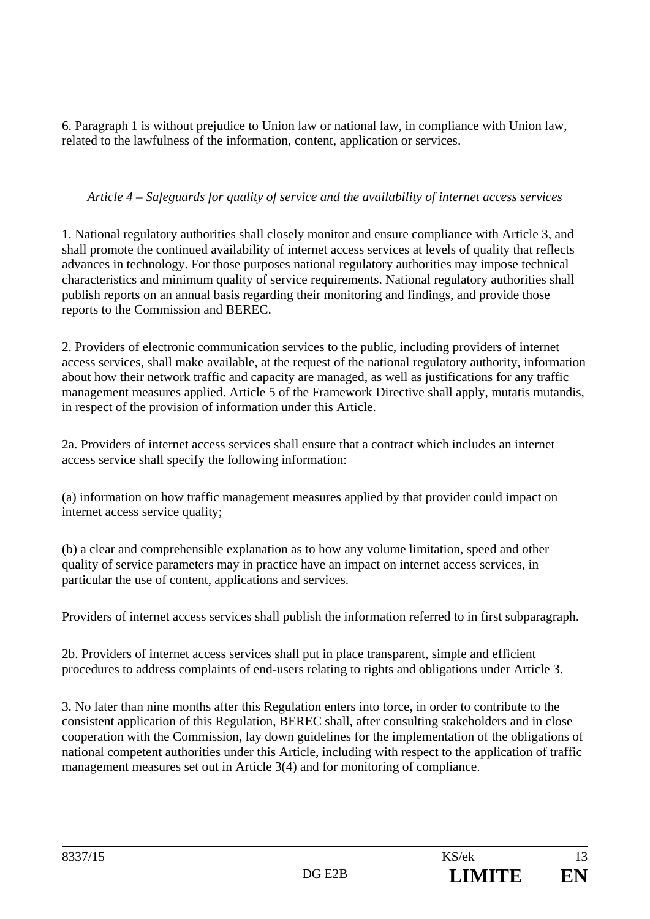6. Paragraph 1 is without prejudice to Union law or national law, in compliance with Union law, related to the lawfulness of the information, content, application or services.

# *Article 4 – Safeguards for quality of service and the availability of internet access services*

1. National regulatory authorities shall closely monitor and ensure compliance with Article 3, and shall promote the continued availability of internet access services at levels of quality that reflects advances in technology. For those purposes national regulatory authorities may impose technical characteristics and minimum quality of service requirements. National regulatory authorities shall publish reports on an annual basis regarding their monitoring and findings, and provide those reports to the Commission and BEREC.

2. Providers of electronic communication services to the public, including providers of internet access services, shall make available, at the request of the national regulatory authority, information about how their network traffic and capacity are managed, as well as justifications for any traffic management measures applied. Article 5 of the Framework Directive shall apply, mutatis mutandis, in respect of the provision of information under this Article.

2a. Providers of internet access services shall ensure that a contract which includes an internet access service shall specify the following information:

(a) information on how traffic management measures applied by that provider could impact on internet access service quality;

(b) a clear and comprehensible explanation as to how any volume limitation, speed and other quality of service parameters may in practice have an impact on internet access services, in particular the use of content, applications and services.

Providers of internet access services shall publish the information referred to in first subparagraph.

2b. Providers of internet access services shall put in place transparent, simple and efficient procedures to address complaints of end-users relating to rights and obligations under Article 3.

3. No later than nine months after this Regulation enters into force, in order to contribute to the consistent application of this Regulation, BEREC shall, after consulting stakeholders and in close cooperation with the Commission, lay down guidelines for the implementation of the obligations of national competent authorities under this Article, including with respect to the application of traffic management measures set out in Article 3(4) and for monitoring of compliance.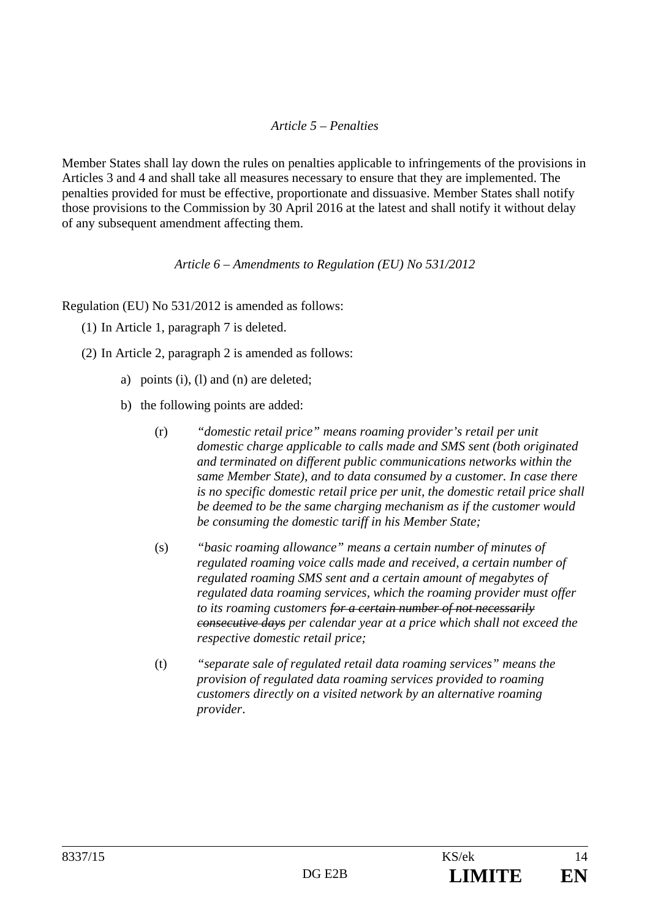# *Article 5 – Penalties*

Member States shall lay down the rules on penalties applicable to infringements of the provisions in Articles 3 and 4 and shall take all measures necessary to ensure that they are implemented. The penalties provided for must be effective, proportionate and dissuasive. Member States shall notify those provisions to the Commission by 30 April 2016 at the latest and shall notify it without delay of any subsequent amendment affecting them.

#### *Article 6 – Amendments to Regulation (EU) No 531/2012*

Regulation (EU) No 531/2012 is amended as follows:

- (1) In Article 1, paragraph 7 is deleted.
- (2) In Article 2, paragraph 2 is amended as follows:
	- a) points (i), (l) and (n) are deleted;
	- b) the following points are added:
		- (r) *"domestic retail price" means roaming provider's retail per unit domestic charge applicable to calls made and SMS sent (both originated and terminated on different public communications networks within the same Member State), and to data consumed by a customer. In case there is no specific domestic retail price per unit, the domestic retail price shall be deemed to be the same charging mechanism as if the customer would be consuming the domestic tariff in his Member State;*
		- (s) *"basic roaming allowance" means a certain number of minutes of regulated roaming voice calls made and received, a certain number of regulated roaming SMS sent and a certain amount of megabytes of regulated data roaming services, which the roaming provider must offer to its roaming customers for a certain number of not necessarily consecutive days per calendar year at a price which shall not exceed the respective domestic retail price;*
		- (t) *"separate sale of regulated retail data roaming services" means the provision of regulated data roaming services provided to roaming customers directly on a visited network by an alternative roaming provider*.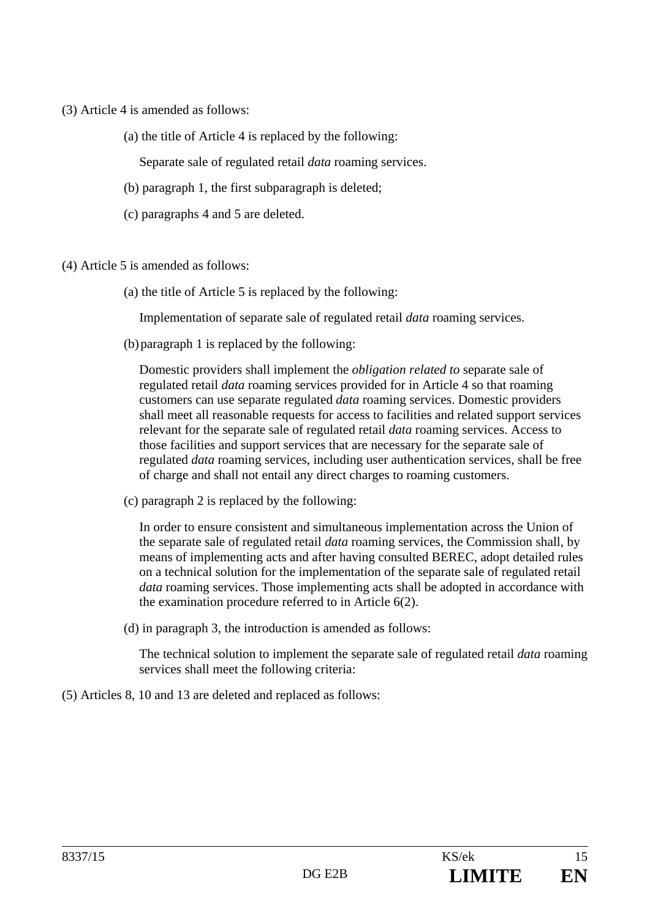- (3) Article 4 is amended as follows:
	- (a) the title of Article 4 is replaced by the following:

Separate sale of regulated retail *data* roaming services.

- (b) paragraph 1, the first subparagraph is deleted;
- (c) paragraphs 4 and 5 are deleted.
- (4) Article 5 is amended as follows:
	- (a) the title of Article 5 is replaced by the following:

Implementation of separate sale of regulated retail *data* roaming services.

(b)paragraph 1 is replaced by the following:

Domestic providers shall implement the *obligation related to* separate sale of regulated retail *data* roaming services provided for in Article 4 so that roaming customers can use separate regulated *data* roaming services. Domestic providers shall meet all reasonable requests for access to facilities and related support services relevant for the separate sale of regulated retail *data* roaming services. Access to those facilities and support services that are necessary for the separate sale of regulated *data* roaming services, including user authentication services, shall be free of charge and shall not entail any direct charges to roaming customers.

(c) paragraph 2 is replaced by the following:

In order to ensure consistent and simultaneous implementation across the Union of the separate sale of regulated retail *data* roaming services, the Commission shall, by means of implementing acts and after having consulted BEREC, adopt detailed rules on a technical solution for the implementation of the separate sale of regulated retail *data* roaming services. Those implementing acts shall be adopted in accordance with the examination procedure referred to in Article 6(2).

(d) in paragraph 3, the introduction is amended as follows:

The technical solution to implement the separate sale of regulated retail *data* roaming services shall meet the following criteria:

(5) Articles 8, 10 and 13 are deleted and replaced as follows: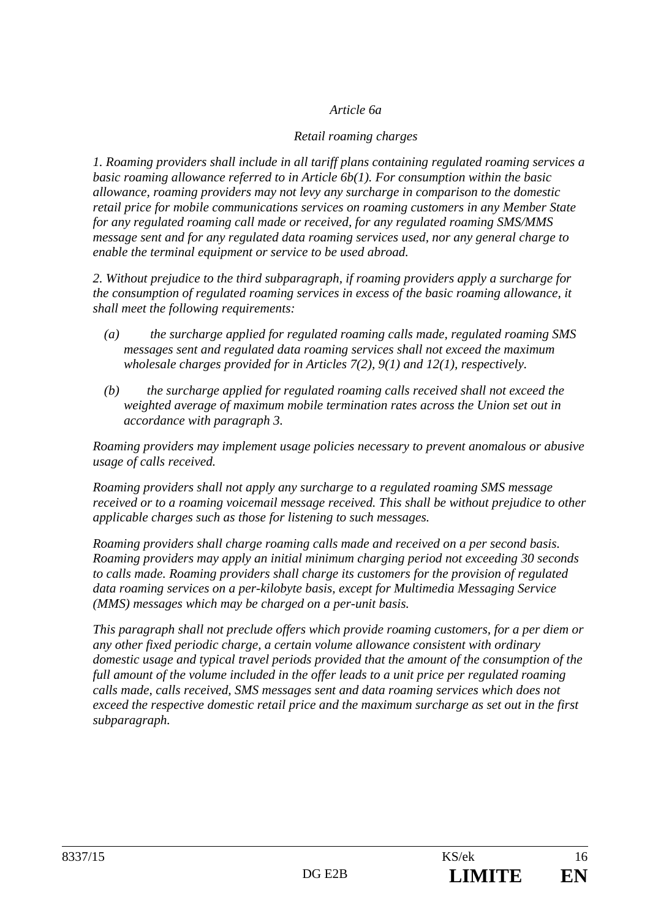### *Article 6a*

### *Retail roaming charges*

*1. Roaming providers shall include in all tariff plans containing regulated roaming services a basic roaming allowance referred to in Article 6b(1). For consumption within the basic allowance, roaming providers may not levy any surcharge in comparison to the domestic retail price for mobile communications services on roaming customers in any Member State for any regulated roaming call made or received, for any regulated roaming SMS/MMS message sent and for any regulated data roaming services used, nor any general charge to enable the terminal equipment or service to be used abroad.* 

*2. Without prejudice to the third subparagraph, if roaming providers apply a surcharge for the consumption of regulated roaming services in excess of the basic roaming allowance, it shall meet the following requirements:* 

- *(a) the surcharge applied for regulated roaming calls made, regulated roaming SMS messages sent and regulated data roaming services shall not exceed the maximum wholesale charges provided for in Articles 7(2), 9(1) and 12(1), respectively.*
- *(b) the surcharge applied for regulated roaming calls received shall not exceed the weighted average of maximum mobile termination rates across the Union set out in accordance with paragraph 3.*

*Roaming providers may implement usage policies necessary to prevent anomalous or abusive usage of calls received.* 

*Roaming providers shall not apply any surcharge to a regulated roaming SMS message received or to a roaming voicemail message received. This shall be without prejudice to other applicable charges such as those for listening to such messages.* 

*Roaming providers shall charge roaming calls made and received on a per second basis. Roaming providers may apply an initial minimum charging period not exceeding 30 seconds to calls made. Roaming providers shall charge its customers for the provision of regulated data roaming services on a per-kilobyte basis, except for Multimedia Messaging Service (MMS) messages which may be charged on a per-unit basis.* 

*This paragraph shall not preclude offers which provide roaming customers, for a per diem or any other fixed periodic charge, a certain volume allowance consistent with ordinary domestic usage and typical travel periods provided that the amount of the consumption of the full amount of the volume included in the offer leads to a unit price per regulated roaming calls made, calls received, SMS messages sent and data roaming services which does not exceed the respective domestic retail price and the maximum surcharge as set out in the first subparagraph.*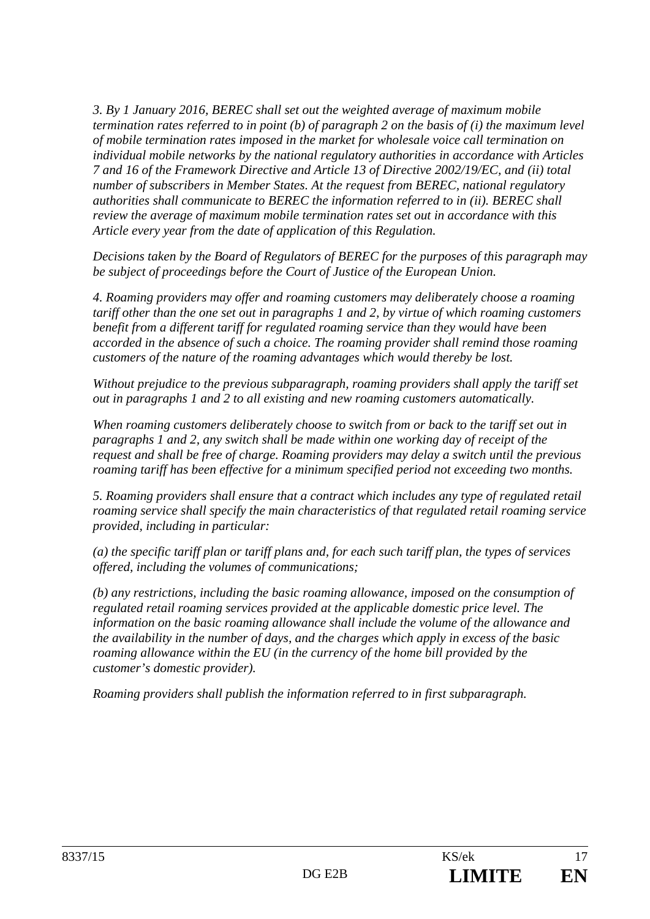*3. By 1 January 2016, BEREC shall set out the weighted average of maximum mobile termination rates referred to in point (b) of paragraph 2 on the basis of (i) the maximum level of mobile termination rates imposed in the market for wholesale voice call termination on individual mobile networks by the national regulatory authorities in accordance with Articles 7 and 16 of the Framework Directive and Article 13 of Directive 2002/19/EC, and (ii) total number of subscribers in Member States. At the request from BEREC, national regulatory authorities shall communicate to BEREC the information referred to in (ii). BEREC shall review the average of maximum mobile termination rates set out in accordance with this Article every year from the date of application of this Regulation.*

*Decisions taken by the Board of Regulators of BEREC for the purposes of this paragraph may be subject of proceedings before the Court of Justice of the European Union.* 

*4. Roaming providers may offer and roaming customers may deliberately choose a roaming tariff other than the one set out in paragraphs 1 and 2, by virtue of which roaming customers benefit from a different tariff for regulated roaming service than they would have been accorded in the absence of such a choice. The roaming provider shall remind those roaming customers of the nature of the roaming advantages which would thereby be lost.* 

*Without prejudice to the previous subparagraph, roaming providers shall apply the tariff set out in paragraphs 1 and 2 to all existing and new roaming customers automatically.* 

*When roaming customers deliberately choose to switch from or back to the tariff set out in paragraphs 1 and 2, any switch shall be made within one working day of receipt of the request and shall be free of charge. Roaming providers may delay a switch until the previous roaming tariff has been effective for a minimum specified period not exceeding two months.* 

*5. Roaming providers shall ensure that a contract which includes any type of regulated retail roaming service shall specify the main characteristics of that regulated retail roaming service provided, including in particular:* 

*(a) the specific tariff plan or tariff plans and, for each such tariff plan, the types of services offered, including the volumes of communications;* 

*(b) any restrictions, including the basic roaming allowance, imposed on the consumption of regulated retail roaming services provided at the applicable domestic price level. The information on the basic roaming allowance shall include the volume of the allowance and the availability in the number of days, and the charges which apply in excess of the basic roaming allowance within the EU (in the currency of the home bill provided by the customer's domestic provider).* 

*Roaming providers shall publish the information referred to in first subparagraph.*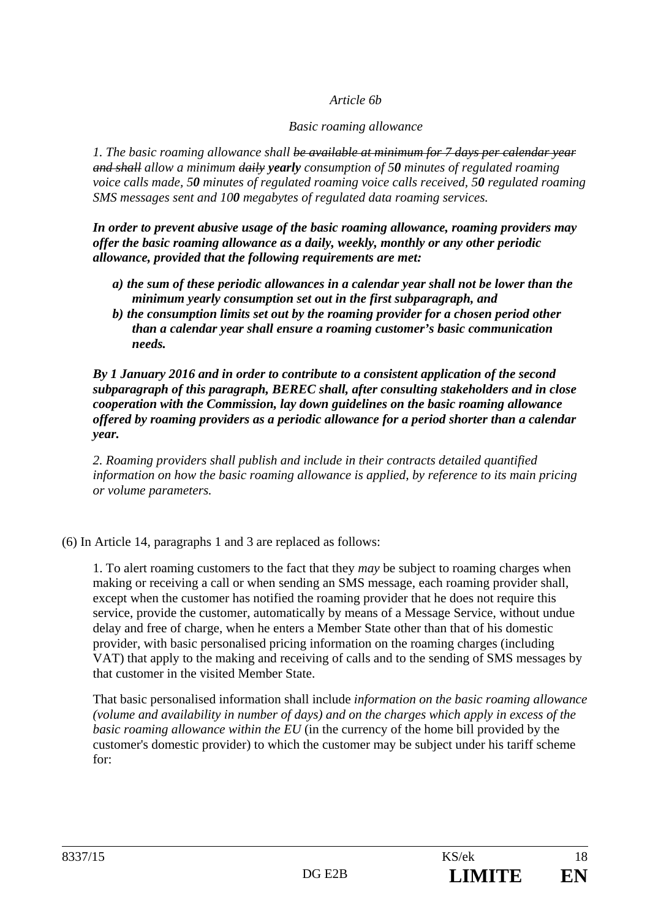#### *Article 6b*

#### *Basic roaming allowance*

*1. The basic roaming allowance shall be available at minimum for 7 days per calendar year and shall allow a minimum daily yearly consumption of 50 minutes of regulated roaming voice calls made, 50 minutes of regulated roaming voice calls received, 50 regulated roaming SMS messages sent and 100 megabytes of regulated data roaming services.* 

*In order to prevent abusive usage of the basic roaming allowance, roaming providers may offer the basic roaming allowance as a daily, weekly, monthly or any other periodic allowance, provided that the following requirements are met:* 

- *a) the sum of these periodic allowances in a calendar year shall not be lower than the minimum yearly consumption set out in the first subparagraph, and*
- *b) the consumption limits set out by the roaming provider for a chosen period other than a calendar year shall ensure a roaming customer's basic communication needs.*

*By 1 January 2016 and in order to contribute to a consistent application of the second subparagraph of this paragraph, BEREC shall, after consulting stakeholders and in close cooperation with the Commission, lay down guidelines on the basic roaming allowance offered by roaming providers as a periodic allowance for a period shorter than a calendar year.* 

*2. Roaming providers shall publish and include in their contracts detailed quantified information on how the basic roaming allowance is applied, by reference to its main pricing or volume parameters.* 

(6) In Article 14, paragraphs 1 and 3 are replaced as follows:

1. To alert roaming customers to the fact that they *may* be subject to roaming charges when making or receiving a call or when sending an SMS message, each roaming provider shall, except when the customer has notified the roaming provider that he does not require this service, provide the customer, automatically by means of a Message Service, without undue delay and free of charge, when he enters a Member State other than that of his domestic provider, with basic personalised pricing information on the roaming charges (including VAT) that apply to the making and receiving of calls and to the sending of SMS messages by that customer in the visited Member State.

That basic personalised information shall include *information on the basic roaming allowance (volume and availability in number of days) and on the charges which apply in excess of the basic roaming allowance within the EU* (in the currency of the home bill provided by the customer's domestic provider) to which the customer may be subject under his tariff scheme for: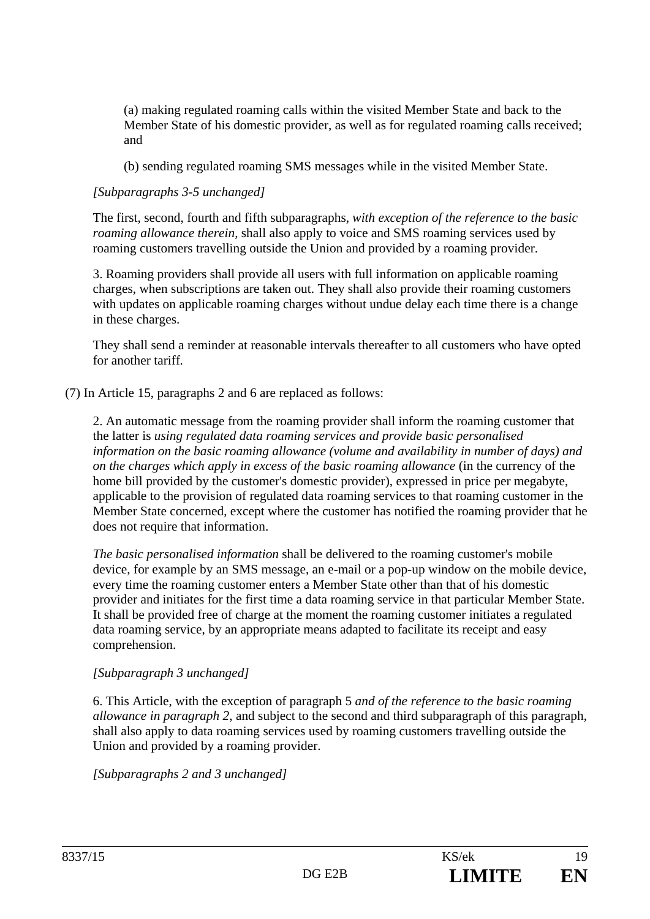(a) making regulated roaming calls within the visited Member State and back to the Member State of his domestic provider, as well as for regulated roaming calls received; and

(b) sending regulated roaming SMS messages while in the visited Member State.

# *[Subparagraphs 3-5 unchanged]*

The first, second, fourth and fifth subparagraphs, *with exception of the reference to the basic roaming allowance therein,* shall also apply to voice and SMS roaming services used by roaming customers travelling outside the Union and provided by a roaming provider.

3. Roaming providers shall provide all users with full information on applicable roaming charges, when subscriptions are taken out. They shall also provide their roaming customers with updates on applicable roaming charges without undue delay each time there is a change in these charges.

They shall send a reminder at reasonable intervals thereafter to all customers who have opted for another tariff*.*

#### (7) In Article 15, paragraphs 2 and 6 are replaced as follows:

2. An automatic message from the roaming provider shall inform the roaming customer that the latter is *using regulated data roaming services and provide basic personalised information on the basic roaming allowance (volume and availability in number of days) and on the charges which apply in excess of the basic roaming allowance* (in the currency of the home bill provided by the customer's domestic provider), expressed in price per megabyte, applicable to the provision of regulated data roaming services to that roaming customer in the Member State concerned, except where the customer has notified the roaming provider that he does not require that information.

*The basic personalised information* shall be delivered to the roaming customer's mobile device, for example by an SMS message, an e-mail or a pop-up window on the mobile device, every time the roaming customer enters a Member State other than that of his domestic provider and initiates for the first time a data roaming service in that particular Member State. It shall be provided free of charge at the moment the roaming customer initiates a regulated data roaming service, by an appropriate means adapted to facilitate its receipt and easy comprehension.

#### *[Subparagraph 3 unchanged]*

6. This Article, with the exception of paragraph 5 *and of the reference to the basic roaming allowance in paragraph 2*, and subject to the second and third subparagraph of this paragraph, shall also apply to data roaming services used by roaming customers travelling outside the Union and provided by a roaming provider.

*[Subparagraphs 2 and 3 unchanged]*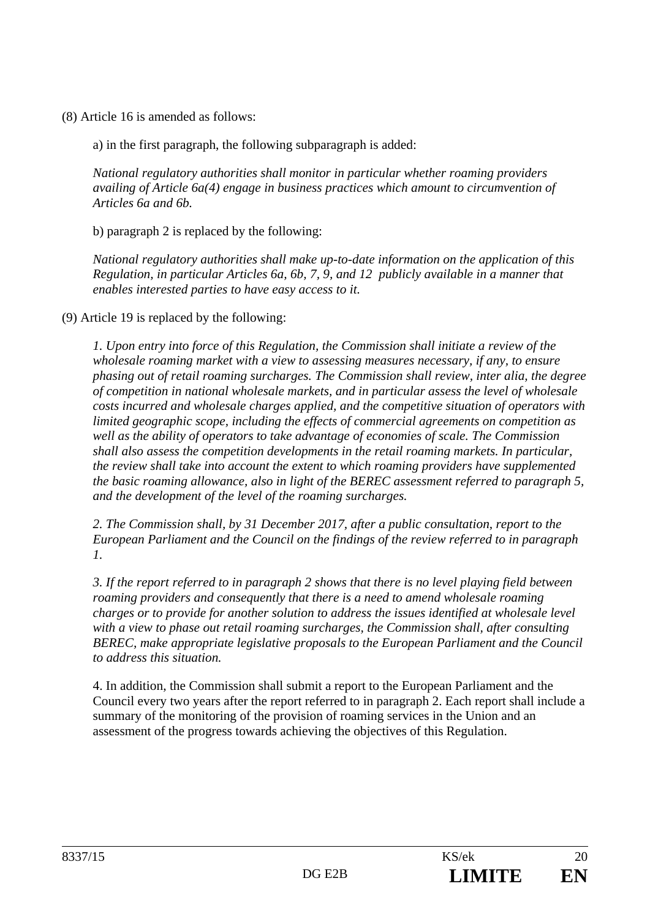(8) Article 16 is amended as follows:

a) in the first paragraph, the following subparagraph is added:

*National regulatory authorities shall monitor in particular whether roaming providers availing of Article 6a(4) engage in business practices which amount to circumvention of Articles 6a and 6b.* 

b) paragraph 2 is replaced by the following:

*National regulatory authorities shall make up-to-date information on the application of this Regulation, in particular Articles 6a, 6b, 7, 9, and 12 publicly available in a manner that enables interested parties to have easy access to it.* 

(9) Article 19 is replaced by the following:

*1. Upon entry into force of this Regulation, the Commission shall initiate a review of the wholesale roaming market with a view to assessing measures necessary, if any, to ensure phasing out of retail roaming surcharges. The Commission shall review, inter alia, the degree of competition in national wholesale markets, and in particular assess the level of wholesale costs incurred and wholesale charges applied, and the competitive situation of operators with limited geographic scope, including the effects of commercial agreements on competition as well as the ability of operators to take advantage of economies of scale. The Commission shall also assess the competition developments in the retail roaming markets. In particular, the review shall take into account the extent to which roaming providers have supplemented the basic roaming allowance, also in light of the BEREC assessment referred to paragraph 5, and the development of the level of the roaming surcharges.* 

*2. The Commission shall, by 31 December 2017, after a public consultation, report to the European Parliament and the Council on the findings of the review referred to in paragraph 1.* 

*3. If the report referred to in paragraph 2 shows that there is no level playing field between roaming providers and consequently that there is a need to amend wholesale roaming charges or to provide for another solution to address the issues identified at wholesale level with a view to phase out retail roaming surcharges, the Commission shall, after consulting BEREC, make appropriate legislative proposals to the European Parliament and the Council to address this situation.* 

4. In addition, the Commission shall submit a report to the European Parliament and the Council every two years after the report referred to in paragraph 2. Each report shall include a summary of the monitoring of the provision of roaming services in the Union and an assessment of the progress towards achieving the objectives of this Regulation.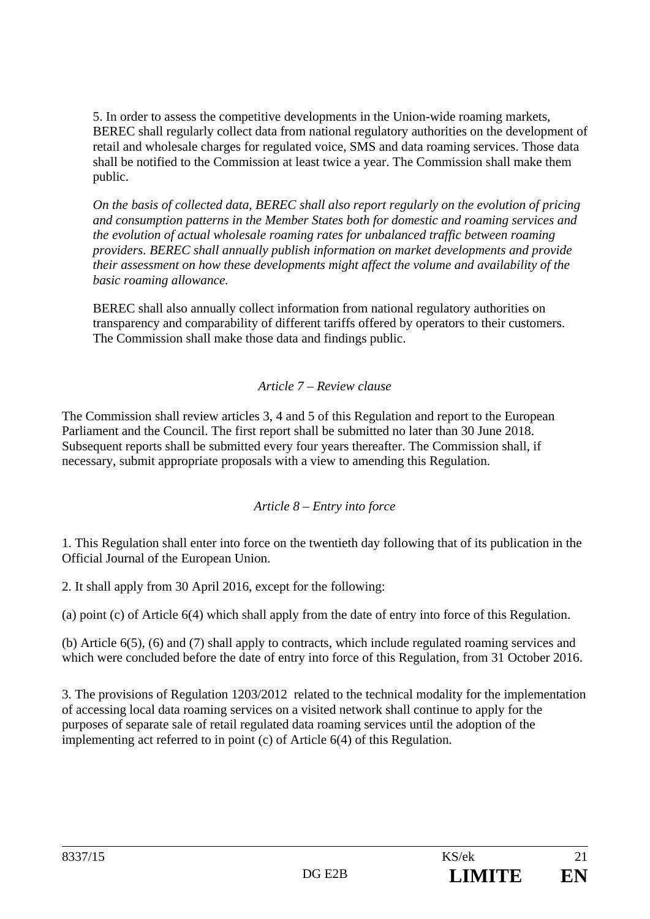5. In order to assess the competitive developments in the Union-wide roaming markets, BEREC shall regularly collect data from national regulatory authorities on the development of retail and wholesale charges for regulated voice, SMS and data roaming services. Those data shall be notified to the Commission at least twice a year. The Commission shall make them public.

*On the basis of collected data, BEREC shall also report regularly on the evolution of pricing and consumption patterns in the Member States both for domestic and roaming services and the evolution of actual wholesale roaming rates for unbalanced traffic between roaming providers. BEREC shall annually publish information on market developments and provide their assessment on how these developments might affect the volume and availability of the basic roaming allowance.* 

BEREC shall also annually collect information from national regulatory authorities on transparency and comparability of different tariffs offered by operators to their customers. The Commission shall make those data and findings public.

# *Article 7 – Review clause*

The Commission shall review articles 3, 4 and 5 of this Regulation and report to the European Parliament and the Council. The first report shall be submitted no later than 30 June 2018. Subsequent reports shall be submitted every four years thereafter. The Commission shall, if necessary, submit appropriate proposals with a view to amending this Regulation.

# *Article 8 – Entry into force*

1. This Regulation shall enter into force on the twentieth day following that of its publication in the Official Journal of the European Union.

2. It shall apply from 30 April 2016, except for the following:

(a) point (c) of Article 6(4) which shall apply from the date of entry into force of this Regulation.

(b) Article 6(5), (6) and (7) shall apply to contracts, which include regulated roaming services and which were concluded before the date of entry into force of this Regulation, from 31 October 2016.

3. The provisions of Regulation 1203/2012 related to the technical modality for the implementation of accessing local data roaming services on a visited network shall continue to apply for the purposes of separate sale of retail regulated data roaming services until the adoption of the implementing act referred to in point (c) of Article 6(4) of this Regulation.